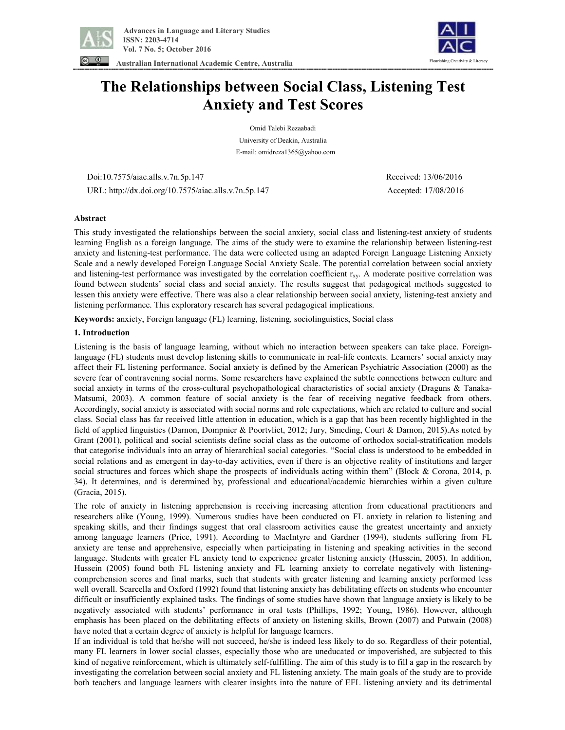

**Australian International Academic Centre, Australia** 



# **The Relationships between Social Class, Listening Test Anxiety and Test Scores**

Omid Talebi Rezaabadi University of Deakin, Australia E-mail: omidreza1365@yahoo.com

 Doi:10.7575/aiac.alls.v.7n.5p.147 Received: 13/06/2016 URL: http://dx.doi.org/10.7575/aiac.alls.v.7n.5p.147 Accepted: 17/08/2016

# **Abstract**

This study investigated the relationships between the social anxiety, social class and listening-test anxiety of students learning English as a foreign language. The aims of the study were to examine the relationship between listening-test anxiety and listening-test performance. The data were collected using an adapted Foreign Language Listening Anxiety Scale and a newly developed Foreign Language Social Anxiety Scale. The potential correlation between social anxiety and listening-test performance was investigated by the correlation coefficient  $r_{xy}$ . A moderate positive correlation was found between students' social class and social anxiety. The results suggest that pedagogical methods suggested to lessen this anxiety were effective. There was also a clear relationship between social anxiety, listening-test anxiety and listening performance. This exploratory research has several pedagogical implications.

**Keywords:** anxiety, Foreign language (FL) learning, listening, sociolinguistics, Social class

# **1. Introduction**

Listening is the basis of language learning, without which no interaction between speakers can take place. Foreignlanguage (FL) students must develop listening skills to communicate in real-life contexts. Learners' social anxiety may affect their FL listening performance. Social anxiety is defined by the American Psychiatric Association (2000) as the severe fear of contravening social norms. Some researchers have explained the subtle connections between culture and social anxiety in terms of the cross-cultural psychopathological characteristics of social anxiety (Draguns & Tanaka-Matsumi, 2003). A common feature of social anxiety is the fear of receiving negative feedback from others. Accordingly, social anxiety is associated with social norms and role expectations, which are related to culture and social class. Social class has far received little attention in education, which is a gap that has been recently highlighted in the field of applied linguistics (Darnon, Dompnier & Poortvliet, 2012; Jury, Smeding, Court & Darnon, 2015).As noted by Grant (2001), political and social scientists define social class as the outcome of orthodox social-stratification models that categorise individuals into an array of hierarchical social categories. "Social class is understood to be embedded in social relations and as emergent in day-to-day activities, even if there is an objective reality of institutions and larger social structures and forces which shape the prospects of individuals acting within them" (Block & Corona, 2014, p. 34). It determines, and is determined by, professional and educational/academic hierarchies within a given culture (Gracia, 2015).

The role of anxiety in listening apprehension is receiving increasing attention from educational practitioners and researchers alike (Young, 1999). Numerous studies have been conducted on FL anxiety in relation to listening and speaking skills, and their findings suggest that oral classroom activities cause the greatest uncertainty and anxiety among language learners (Price, 1991). According to MacIntyre and Gardner (1994), students suffering from FL anxiety are tense and apprehensive, especially when participating in listening and speaking activities in the second language. Students with greater FL anxiety tend to experience greater listening anxiety (Hussein, 2005). In addition, Hussein (2005) found both FL listening anxiety and FL learning anxiety to correlate negatively with listeningcomprehension scores and final marks, such that students with greater listening and learning anxiety performed less well overall. Scarcella and Oxford (1992) found that listening anxiety has debilitating effects on students who encounter difficult or insufficiently explained tasks. The findings of some studies have shown that language anxiety is likely to be negatively associated with students' performance in oral tests (Phillips, 1992; Young, 1986). However, although emphasis has been placed on the debilitating effects of anxiety on listening skills, Brown (2007) and Putwain (2008) have noted that a certain degree of anxiety is helpful for language learners.

If an individual is told that he/she will not succeed, he/she is indeed less likely to do so. Regardless of their potential, many FL learners in lower social classes, especially those who are uneducated or impoverished, are subjected to this kind of negative reinforcement, which is ultimately self-fulfilling. The aim of this study is to fill a gap in the research by investigating the correlation between social anxiety and FL listening anxiety. The main goals of the study are to provide both teachers and language learners with clearer insights into the nature of EFL listening anxiety and its detrimental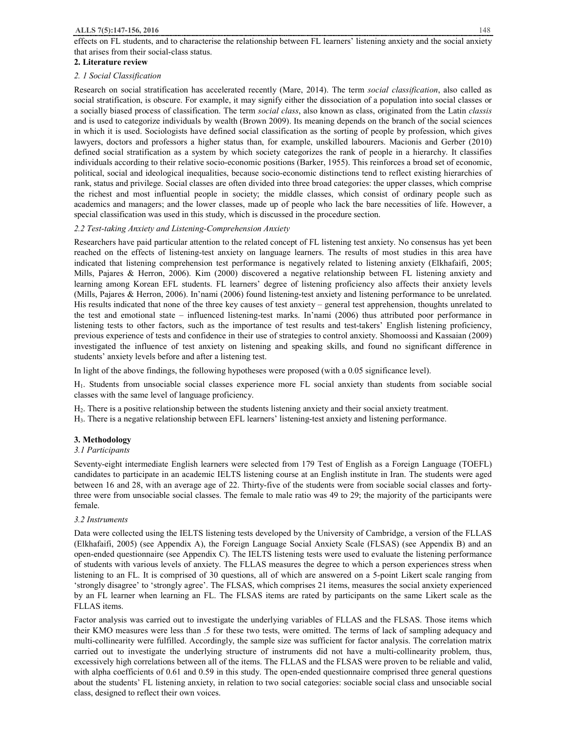effects on FL students, and to characterise the relationship between FL learners' listening anxiety and the social anxiety that arises from their social-class status.

## **2. Literature review**

## *2. 1 Social Classification*

Research on social stratification has accelerated recently (Mare, 2014). The term *social classification*, also called as social stratification, is obscure. For example, it may signify either the dissociation of a population into social classes or a socially biased process of classification. The term *social class*, also known as class, originated from the Latin *classis* and is used to categorize individuals by wealth (Brown 2009). Its meaning depends on the branch of the social sciences in which it is used. Sociologists have defined social classification as the sorting of people by profession, which gives lawyers, doctors and professors a higher status than, for example, unskilled labourers. Macionis and Gerber (2010) defined social stratification as a system by which society categorizes the rank of people in a hierarchy. It classifies individuals according to their relative socio-economic positions (Barker, 1955). This reinforces a broad set of economic, political, social and ideological inequalities, because socio-economic distinctions tend to reflect existing hierarchies of rank, status and privilege. Social classes are often divided into three broad categories: the upper classes, which comprise the richest and most influential people in society; the middle classes, which consist of ordinary people such as academics and managers; and the lower classes, made up of people who lack the bare necessities of life. However, a special classification was used in this study, which is discussed in the procedure section.

# *2.2 Test-taking Anxiety and Listening-Comprehension Anxiety*

Researchers have paid particular attention to the related concept of FL listening test anxiety. No consensus has yet been reached on the effects of listening-test anxiety on language learners. The results of most studies in this area have indicated that listening comprehension test performance is negatively related to listening anxiety (Elkhafaifi, 2005; Mills, Pajares & Herron, 2006). Kim (2000) discovered a negative relationship between FL listening anxiety and learning among Korean EFL students. FL learners' degree of listening proficiency also affects their anxiety levels (Mills, Pajares & Herron, 2006). In'nami (2006) found listening-test anxiety and listening performance to be unrelated. His results indicated that none of the three key causes of test anxiety – general test apprehension, thoughts unrelated to the test and emotional state – influenced listening-test marks. In'nami (2006) thus attributed poor performance in listening tests to other factors, such as the importance of test results and test-takers' English listening proficiency, previous experience of tests and confidence in their use of strategies to control anxiety. Shomoossi and Kassaian (2009) investigated the influence of test anxiety on listening and speaking skills, and found no significant difference in students' anxiety levels before and after a listening test.

In light of the above findings, the following hypotheses were proposed (with a 0.05 significance level).

H1. Students from unsociable social classes experience more FL social anxiety than students from sociable social classes with the same level of language proficiency.

H2. There is a positive relationship between the students listening anxiety and their social anxiety treatment.

H3. There is a negative relationship between EFL learners' listening-test anxiety and listening performance.

# **3. Methodology**

# *3.1 Participants*

Seventy-eight intermediate English learners were selected from 179 Test of English as a Foreign Language (TOEFL) candidates to participate in an academic IELTS listening course at an English institute in Iran. The students were aged between 16 and 28, with an average age of 22. Thirty-five of the students were from sociable social classes and fortythree were from unsociable social classes. The female to male ratio was 49 to 29; the majority of the participants were female.

# *3.2 Instruments*

Data were collected using the IELTS listening tests developed by the University of Cambridge, a version of the FLLAS (Elkhafaifi, 2005) (see Appendix A), the Foreign Language Social Anxiety Scale (FLSAS) (see Appendix B) and an open-ended questionnaire (see Appendix C). The IELTS listening tests were used to evaluate the listening performance of students with various levels of anxiety. The FLLAS measures the degree to which a person experiences stress when listening to an FL. It is comprised of 30 questions, all of which are answered on a 5-point Likert scale ranging from 'strongly disagree' to 'strongly agree'. The FLSAS, which comprises 21 items, measures the social anxiety experienced by an FL learner when learning an FL. The FLSAS items are rated by participants on the same Likert scale as the FLLAS items.

Factor analysis was carried out to investigate the underlying variables of FLLAS and the FLSAS. Those items which their KMO measures were less than .5 for these two tests, were omitted. The terms of lack of sampling adequacy and multi-collinearity were fulfilled. Accordingly, the sample size was sufficient for factor analysis. The correlation matrix carried out to investigate the underlying structure of instruments did not have a multi-collinearity problem, thus, excessively high correlations between all of the items. The FLLAS and the FLSAS were proven to be reliable and valid, with alpha coefficients of 0.61 and 0.59 in this study. The open-ended questionnaire comprised three general questions about the students' FL listening anxiety, in relation to two social categories: sociable social class and unsociable social class, designed to reflect their own voices.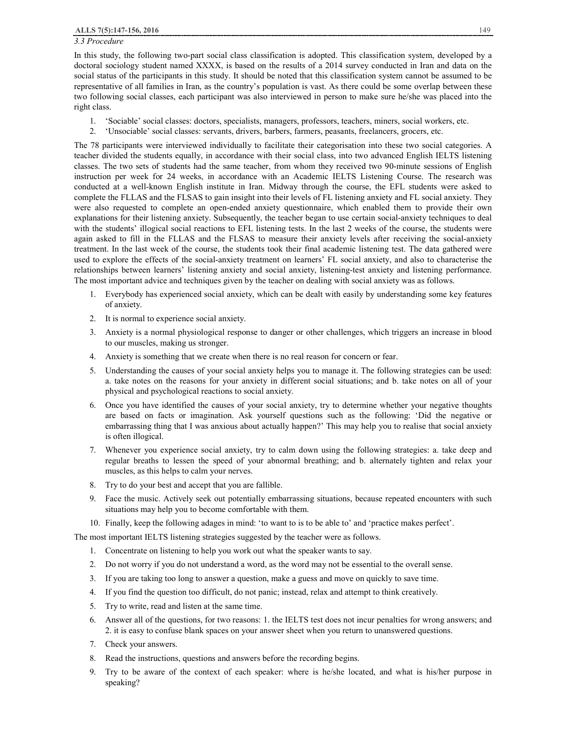# *3.3 Procedure*

In this study, the following two-part social class classification is adopted. This classification system, developed by a doctoral sociology student named XXXX, is based on the results of a 2014 survey conducted in Iran and data on the social status of the participants in this study. It should be noted that this classification system cannot be assumed to be representative of all families in Iran, as the country's population is vast. As there could be some overlap between these two following social classes, each participant was also interviewed in person to make sure he/she was placed into the right class.

- 1. 'Sociable' social classes: doctors, specialists, managers, professors, teachers, miners, social workers, etc.
- 2. 'Unsociable' social classes: servants, drivers, barbers, farmers, peasants, freelancers, grocers, etc.

The 78 participants were interviewed individually to facilitate their categorisation into these two social categories. A teacher divided the students equally, in accordance with their social class, into two advanced English IELTS listening classes. The two sets of students had the same teacher, from whom they received two 90-minute sessions of English instruction per week for 24 weeks, in accordance with an Academic IELTS Listening Course. The research was conducted at a well-known English institute in Iran. Midway through the course, the EFL students were asked to complete the FLLAS and the FLSAS to gain insight into their levels of FL listening anxiety and FL social anxiety. They were also requested to complete an open-ended anxiety questionnaire, which enabled them to provide their own explanations for their listening anxiety. Subsequently, the teacher began to use certain social-anxiety techniques to deal with the students' illogical social reactions to EFL listening tests. In the last 2 weeks of the course, the students were again asked to fill in the FLLAS and the FLSAS to measure their anxiety levels after receiving the social-anxiety treatment. In the last week of the course, the students took their final academic listening test. The data gathered were used to explore the effects of the social-anxiety treatment on learners' FL social anxiety, and also to characterise the relationships between learners' listening anxiety and social anxiety, listening-test anxiety and listening performance. The most important advice and techniques given by the teacher on dealing with social anxiety was as follows.

- 1. Everybody has experienced social anxiety, which can be dealt with easily by understanding some key features of anxiety.
- 2. It is normal to experience social anxiety.
- 3. Anxiety is a normal physiological response to danger or other challenges, which triggers an increase in blood to our muscles, making us stronger.
- 4. Anxiety is something that we create when there is no real reason for concern or fear.
- 5. Understanding the causes of your social anxiety helps you to manage it. The following strategies can be used: a. take notes on the reasons for your anxiety in different social situations; and b. take notes on all of your physical and psychological reactions to social anxiety.
- 6. Once you have identified the causes of your social anxiety, try to determine whether your negative thoughts are based on facts or imagination. Ask yourself questions such as the following: 'Did the negative or embarrassing thing that I was anxious about actually happen?' This may help you to realise that social anxiety is often illogical.
- 7. Whenever you experience social anxiety, try to calm down using the following strategies: a. take deep and regular breaths to lessen the speed of your abnormal breathing; and b. alternately tighten and relax your muscles, as this helps to calm your nerves.
- 8. Try to do your best and accept that you are fallible.
- 9. Face the music. Actively seek out potentially embarrassing situations, because repeated encounters with such situations may help you to become comfortable with them.
- 10. Finally, keep the following adages in mind: 'to want to is to be able to' and 'practice makes perfect'.

The most important IELTS listening strategies suggested by the teacher were as follows.

- 1. Concentrate on listening to help you work out what the speaker wants to say.
- 2. Do not worry if you do not understand a word, as the word may not be essential to the overall sense.
- 3. If you are taking too long to answer a question, make a guess and move on quickly to save time.
- 4. If you find the question too difficult, do not panic; instead, relax and attempt to think creatively.
- 5. Try to write, read and listen at the same time.
- 6. Answer all of the questions, for two reasons: 1. the IELTS test does not incur penalties for wrong answers; and 2. it is easy to confuse blank spaces on your answer sheet when you return to unanswered questions.
- 7. Check your answers.
- 8. Read the instructions, questions and answers before the recording begins.
- 9. Try to be aware of the context of each speaker: where is he/she located, and what is his/her purpose in speaking?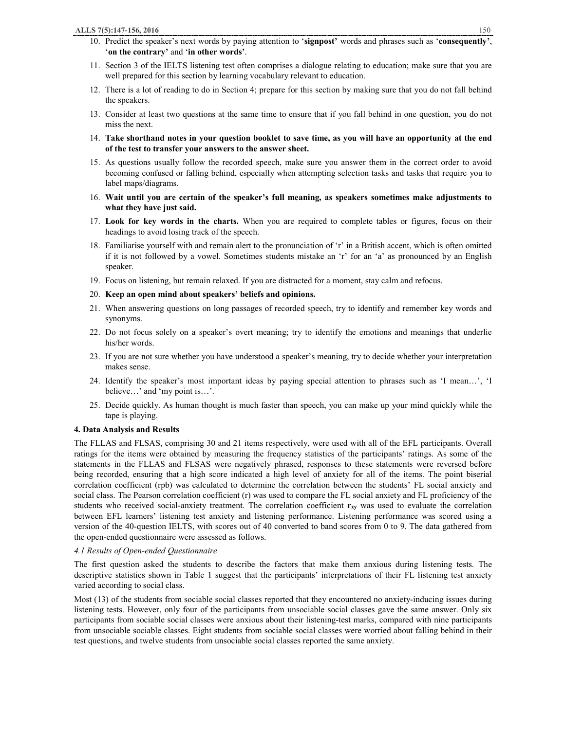- 11. Section 3 of the IELTS listening test often comprises a dialogue relating to education; make sure that you are well prepared for this section by learning vocabulary relevant to education.
- 12. There is a lot of reading to do in Section 4; prepare for this section by making sure that you do not fall behind the speakers.
- 13. Consider at least two questions at the same time to ensure that if you fall behind in one question, you do not miss the next.
- 14. Take shorthand notes in your question booklet to save time, as you will have an opportunity at the end **of the test to transfer your answers to the answer sheet.**
- 15. As questions usually follow the recorded speech, make sure you answer them in the correct order to avoid becoming confused or falling behind, especially when attempting selection tasks and tasks that require you to label maps/diagrams.
- 16. **Wait until you are certain of the speaker's full meaning, as speakers sometimes make adjustments to what they have just said.**
- 17. **Look for key words in the charts.** When you are required to complete tables or figures, focus on their headings to avoid losing track of the speech.
- 18. Familiarise yourself with and remain alert to the pronunciation of 'r' in a British accent, which is often omitted if it is not followed by a vowel. Sometimes students mistake an 'r' for an 'a' as pronounced by an English speaker.
- 19. Focus on listening, but remain relaxed. If you are distracted for a moment, stay calm and refocus.
- 20. **Keep an open mind about speakers' beliefs and opinions.**
- 21. When answering questions on long passages of recorded speech, try to identify and remember key words and synonyms.
- 22. Do not focus solely on a speaker's overt meaning; try to identify the emotions and meanings that underlie his/her words.
- 23. If you are not sure whether you have understood a speaker's meaning, try to decide whether your interpretation makes sense.
- 24. Identify the speaker's most important ideas by paying special attention to phrases such as 'I mean…', 'I believe…' and 'my point is…'.
- 25. Decide quickly. As human thought is much faster than speech, you can make up your mind quickly while the tape is playing.

#### **4. Data Analysis and Results**

The FLLAS and FLSAS, comprising 30 and 21 items respectively, were used with all of the EFL participants. Overall ratings for the items were obtained by measuring the frequency statistics of the participants' ratings. As some of the statements in the FLLAS and FLSAS were negatively phrased, responses to these statements were reversed before being recorded, ensuring that a high score indicated a high level of anxiety for all of the items. The point biserial correlation coefficient (rpb) was calculated to determine the correlation between the students' FL social anxiety and social class. The Pearson correlation coefficient (r) was used to compare the FL social anxiety and FL proficiency of the students who received social-anxiety treatment. The correlation coefficient **rxy** was used to evaluate the correlation between EFL learners' listening test anxiety and listening performance. Listening performance was scored using a version of the 40-question IELTS, with scores out of 40 converted to band scores from 0 to 9. The data gathered from the open-ended questionnaire were assessed as follows.

#### *4.1 Results of Open-ended Questionnaire*

The first question asked the students to describe the factors that make them anxious during listening tests. The descriptive statistics shown in Table 1 suggest that the participants' interpretations of their FL listening test anxiety varied according to social class.

Most (13) of the students from sociable social classes reported that they encountered no anxiety-inducing issues during listening tests. However, only four of the participants from unsociable social classes gave the same answer. Only six participants from sociable social classes were anxious about their listening-test marks, compared with nine participants from unsociable sociable classes. Eight students from sociable social classes were worried about falling behind in their test questions, and twelve students from unsociable social classes reported the same anxiety.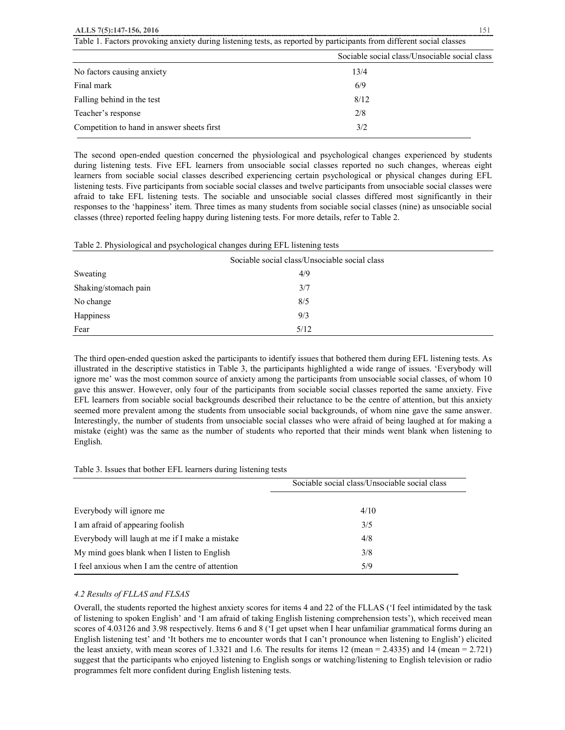## **ALLS 7(5):147-156, 2016** 151

|                                            | Sociable social class/Unsociable social class |
|--------------------------------------------|-----------------------------------------------|
| No factors causing anxiety                 | 13/4                                          |
| Final mark                                 | 6/9                                           |
| Falling behind in the test                 | 8/12                                          |
| Teacher's response                         | 2/8                                           |
| Competition to hand in answer sheets first | 3/2                                           |
|                                            |                                               |

Table 1. Factors provoking anxiety during listening tests, as reported by participants from different social classes

The second open-ended question concerned the physiological and psychological changes experienced by students during listening tests. Five EFL learners from unsociable social classes reported no such changes, whereas eight learners from sociable social classes described experiencing certain psychological or physical changes during EFL listening tests. Five participants from sociable social classes and twelve participants from unsociable social classes were afraid to take EFL listening tests. The sociable and unsociable social classes differed most significantly in their responses to the 'happiness' item. Three times as many students from sociable social classes (nine) as unsociable social classes (three) reported feeling happy during listening tests. For more details, refer to Table 2.

#### Table 2. Physiological and psychological changes during EFL listening tests

| Sociable social class/Unsociable social class |      |  |  |
|-----------------------------------------------|------|--|--|
| Sweating                                      | 4/9  |  |  |
| Shaking/stomach pain                          | 3/7  |  |  |
| No change                                     | 8/5  |  |  |
| Happiness                                     | 9/3  |  |  |
| Fear                                          | 5/12 |  |  |

The third open-ended question asked the participants to identify issues that bothered them during EFL listening tests. As illustrated in the descriptive statistics in Table 3, the participants highlighted a wide range of issues. 'Everybody will ignore me' was the most common source of anxiety among the participants from unsociable social classes, of whom 10 gave this answer. However, only four of the participants from sociable social classes reported the same anxiety. Five EFL learners from sociable social backgrounds described their reluctance to be the centre of attention, but this anxiety seemed more prevalent among the students from unsociable social backgrounds, of whom nine gave the same answer. Interestingly, the number of students from unsociable social classes who were afraid of being laughed at for making a mistake (eight) was the same as the number of students who reported that their minds went blank when listening to English.

|  |  |  | Table 3. Issues that bother EFL learners during listening tests |  |
|--|--|--|-----------------------------------------------------------------|--|
|  |  |  |                                                                 |  |

|                                                  | Sociable social class/Unsociable social class |
|--------------------------------------------------|-----------------------------------------------|
|                                                  |                                               |
| Everybody will ignore me                         | 4/10                                          |
| I am afraid of appearing foolish                 | 3/5                                           |
| Everybody will laugh at me if I make a mistake   | 4/8                                           |
| My mind goes blank when I listen to English      | 3/8                                           |
| I feel anxious when I am the centre of attention | 5/9                                           |

## *4.2 Results of FLLAS and FLSAS*

Overall, the students reported the highest anxiety scores for items 4 and 22 of the FLLAS ('I feel intimidated by the task of listening to spoken English' and 'I am afraid of taking English listening comprehension tests'), which received mean scores of 4.03126 and 3.98 respectively. Items 6 and 8 ('I get upset when I hear unfamiliar grammatical forms during an English listening test' and 'It bothers me to encounter words that I can't pronounce when listening to English') elicited the least anxiety, with mean scores of 1.3321 and 1.6. The results for items 12 (mean = 2.4335) and 14 (mean = 2.721) suggest that the participants who enjoyed listening to English songs or watching/listening to English television or radio programmes felt more confident during English listening tests.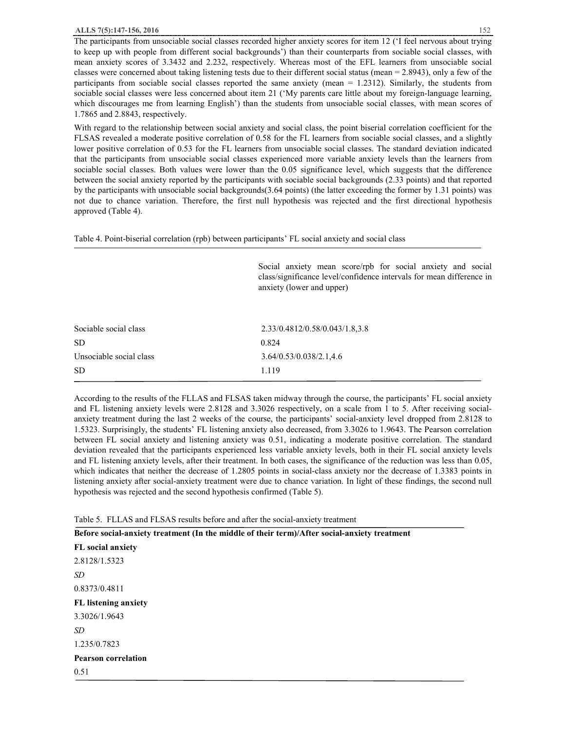The participants from unsociable social classes recorded higher anxiety scores for item 12 ('I feel nervous about trying to keep up with people from different social backgrounds') than their counterparts from sociable social classes, with mean anxiety scores of 3.3432 and 2.232, respectively. Whereas most of the EFL learners from unsociable social classes were concerned about taking listening tests due to their different social status (mean  $= 2.8943$ ), only a few of the participants from sociable social classes reported the same anxiety (mean = 1.2312). Similarly, the students from sociable social classes were less concerned about item 21 ('My parents care little about my foreign-language learning, which discourages me from learning English') than the students from unsociable social classes, with mean scores of 1.7865 and 2.8843, respectively.

With regard to the relationship between social anxiety and social class, the point biserial correlation coefficient for the FLSAS revealed a moderate positive correlation of 0.58 for the FL learners from sociable social classes, and a slightly lower positive correlation of 0.53 for the FL learners from unsociable social classes. The standard deviation indicated that the participants from unsociable social classes experienced more variable anxiety levels than the learners from sociable social classes. Both values were lower than the 0.05 significance level, which suggests that the difference between the social anxiety reported by the participants with sociable social backgrounds (2.33 points) and that reported by the participants with unsociable social backgrounds(3.64 points) (the latter exceeding the former by 1.31 points) was not due to chance variation. Therefore, the first null hypothesis was rejected and the first directional hypothesis approved (Table 4).

Table 4. Point-biserial correlation (rpb) between participants' FL social anxiety and social class

Social anxiety mean score/rpb for social anxiety and social class/significance level/confidence intervals for mean difference in anxiety (lower and upper)

| Sociable social class   | 2.33/0.4812/0.58/0.043/1.8.3.8 |
|-------------------------|--------------------------------|
| SD.                     | 0.824                          |
| Unsociable social class | 3.64/0.53/0.038/2.1,4.6        |
| SD.                     | 1.119                          |
|                         |                                |

According to the results of the FLLAS and FLSAS taken midway through the course, the participants' FL social anxiety and FL listening anxiety levels were 2.8128 and 3.3026 respectively, on a scale from 1 to 5. After receiving socialanxiety treatment during the last 2 weeks of the course, the participants' social-anxiety level dropped from 2.8128 to 1.5323. Surprisingly, the students' FL listening anxiety also decreased, from 3.3026 to 1.9643. The Pearson correlation between FL social anxiety and listening anxiety was 0.51, indicating a moderate positive correlation. The standard deviation revealed that the participants experienced less variable anxiety levels, both in their FL social anxiety levels and FL listening anxiety levels, after their treatment. In both cases, the significance of the reduction was less than 0.05, which indicates that neither the decrease of 1.2805 points in social-class anxiety nor the decrease of 1.3383 points in listening anxiety after social-anxiety treatment were due to chance variation. In light of these findings, the second null hypothesis was rejected and the second hypothesis confirmed (Table 5).

Table 5. FLLAS and FLSAS results before and after the social-anxiety treatment

**Before social-anxiety treatment (In the middle of their term)/After social-anxiety treatment** 

**FL social anxiety**  2.8128/1.5323 *SD*  0.8373/0.4811 **FL listening anxiety**  3.3026/1.9643 *SD*  1.235/0.7823 **Pearson correlation**  0.51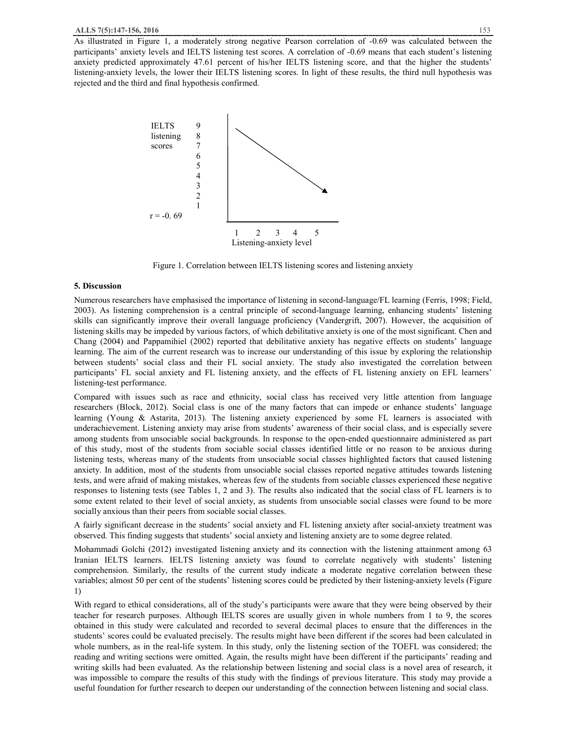As illustrated in Figure 1, a moderately strong negative Pearson correlation of -0.69 was calculated between the participants' anxiety levels and IELTS listening test scores. A correlation of -0.69 means that each student's listening anxiety predicted approximately 47.61 percent of his/her IELTS listening score, and that the higher the students' listening-anxiety levels, the lower their IELTS listening scores. In light of these results, the third null hypothesis was rejected and the third and final hypothesis confirmed.



Figure 1. Correlation between IELTS listening scores and listening anxiety

#### **5. Discussion**

Numerous researchers have emphasised the importance of listening in second-language/FL learning (Ferris, 1998; Field, 2003). As listening comprehension is a central principle of second-language learning, enhancing students' listening skills can significantly improve their overall language proficiency (Vandergrift, 2007). However, the acquisition of listening skills may be impeded by various factors, of which debilitative anxiety is one of the most significant. Chen and Chang (2004) and Pappamihiel (2002) reported that debilitative anxiety has negative effects on students' language learning. The aim of the current research was to increase our understanding of this issue by exploring the relationship between students' social class and their FL social anxiety. The study also investigated the correlation between participants' FL social anxiety and FL listening anxiety, and the effects of FL listening anxiety on EFL learners' listening-test performance.

Compared with issues such as race and ethnicity, social class has received very little attention from language researchers (Block, 2012). Social class is one of the many factors that can impede or enhance students' language learning (Young & Astarita, 2013). The listening anxiety experienced by some FL learners is associated with underachievement. Listening anxiety may arise from students' awareness of their social class, and is especially severe among students from unsociable social backgrounds. In response to the open-ended questionnaire administered as part of this study, most of the students from sociable social classes identified little or no reason to be anxious during listening tests, whereas many of the students from unsociable social classes highlighted factors that caused listening anxiety. In addition, most of the students from unsociable social classes reported negative attitudes towards listening tests, and were afraid of making mistakes, whereas few of the students from sociable classes experienced these negative responses to listening tests (see Tables 1, 2 and 3). The results also indicated that the social class of FL learners is to some extent related to their level of social anxiety, as students from unsociable social classes were found to be more socially anxious than their peers from sociable social classes.

A fairly significant decrease in the students' social anxiety and FL listening anxiety after social-anxiety treatment was observed. This finding suggests that students' social anxiety and listening anxiety are to some degree related.

Mohammadi Golchi (2012) investigated listening anxiety and its connection with the listening attainment among 63 Iranian IELTS learners. IELTS listening anxiety was found to correlate negatively with students' listening comprehension. Similarly, the results of the current study indicate a moderate negative correlation between these variables; almost 50 per cent of the students' listening scores could be predicted by their listening-anxiety levels (Figure 1)

With regard to ethical considerations, all of the study's participants were aware that they were being observed by their teacher for research purposes. Although IELTS scores are usually given in whole numbers from 1 to 9, the scores obtained in this study were calculated and recorded to several decimal places to ensure that the differences in the students' scores could be evaluated precisely. The results might have been different if the scores had been calculated in whole numbers, as in the real-life system. In this study, only the listening section of the TOEFL was considered; the reading and writing sections were omitted. Again, the results might have been different if the participants' reading and writing skills had been evaluated. As the relationship between listening and social class is a novel area of research, it was impossible to compare the results of this study with the findings of previous literature. This study may provide a useful foundation for further research to deepen our understanding of the connection between listening and social class.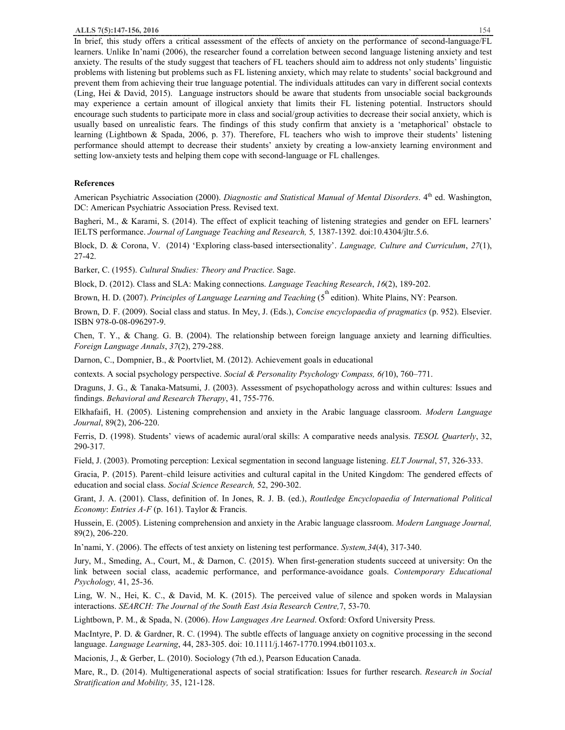In brief, this study offers a critical assessment of the effects of anxiety on the performance of second-language/FL learners. Unlike In'nami (2006), the researcher found a correlation between second language listening anxiety and test anxiety. The results of the study suggest that teachers of FL teachers should aim to address not only students' linguistic problems with listening but problems such as FL listening anxiety, which may relate to students' social background and prevent them from achieving their true language potential. The individuals attitudes can vary in different social contexts (Ling, Hei & David, 2015). Language instructors should be aware that students from unsociable social backgrounds may experience a certain amount of illogical anxiety that limits their FL listening potential. Instructors should encourage such students to participate more in class and social/group activities to decrease their social anxiety, which is usually based on unrealistic fears. The findings of this study confirm that anxiety is a 'metaphorical' obstacle to learning (Lightbown & Spada, 2006, p. 37). Therefore, FL teachers who wish to improve their students' listening performance should attempt to decrease their students' anxiety by creating a low-anxiety learning environment and setting low-anxiety tests and helping them cope with second-language or FL challenges.

## **References**

American Psychiatric Association (2000). *Diagnostic and Statistical Manual of Mental Disorders*. 4th ed. Washington, DC: American Psychiatric Association Press. Revised text.

Bagheri, M., & Karami, S. (2014). The effect of explicit teaching of listening strategies and gender on EFL learners' IELTS performance. *Journal of Language Teaching and Research,* 5*,* 1387*-*1392*.* doi:10.4304/jltr.5.6.

Block, D. & Corona, V. (2014) 'Exploring class-based intersectionality'. *Language, Culture and Curriculum*, *27*(1), 27-42.

Barker, C. (1955). *Cultural Studies: Theory and Practice*. Sage.

Block, D. (2012). Class and SLA: Making connections. *Language Teaching Research*, *16*(2), 189-202.

Brown, H. D. (2007). *Principles of Language Learning and Teaching* (5<sup>th</sup> edition). White Plains, NY: Pearson.

Brown, D. F. (2009). Social class and status. In Mey, J. (Eds.), *Concise encyclopaedia of pragmatics* (p. 952). Elsevier. ISBN 978-0-08-096297-9.

Chen, T. Y., & Chang. G. B. (2004). The relationship between foreign language anxiety and learning difficulties. *Foreign Language Annals*, *37*(2), 279-288.

Darnon, C., Dompnier, B., & Poortvliet, M. (2012). Achievement goals in educational

contexts. A social psychology perspective. *Social & Personality Psychology Compass, 6(*10), 760–771.

Draguns, J. G., & Tanaka-Matsumi, J. (2003). Assessment of psychopathology across and within cultures: Issues and findings. *Behavioral and Research Therapy*, 41, 755-776.

Elkhafaifi, H. (2005). Listening comprehension and anxiety in the Arabic language classroom. *Modern Language Journal*, 89(2), 206-220.

Ferris, D. (1998). Students' views of academic aural/oral skills: A comparative needs analysis. *TESOL Quarterly*, 32, 290-317.

Field, J. (2003). Promoting perception: Lexical segmentation in second language listening. *ELT Journal*, 57, 326-333.

Gracia, P. (2015). Parent–child leisure activities and cultural capital in the United Kingdom: The gendered effects of education and social class. *Social Science Research,* 52, 290-302.

Grant, J. A. (2001). Class, definition of. In Jones, R. J. B. (ed.), *Routledge Encyclopaedia of International Political Economy*: *Entries A-F* (p. 161). Taylor & Francis.

Hussein, E. (2005). Listening comprehension and anxiety in the Arabic language classroom. *Modern Language Journal,*  89(2), 206-220.

In'nami, Y. (2006). The effects of test anxiety on listening test performance. *System,34*(4), 317-340.

Jury, M., Smeding, A., Court, M., & Darnon, C. (2015). When first-generation students succeed at university: On the link between social class, academic performance, and performance-avoidance goals. *Contemporary Educational Psychology,* 41, 25-36.

Ling, W. N., Hei, K. C., & David, M. K. (2015). The perceived value of silence and spoken words in Malaysian interactions. *SEARCH: The Journal of the South East Asia Research Centre,*7, 53-70.

Lightbown, P. M., & Spada, N. (2006). *How Languages Are Learned*. Oxford: Oxford University Press.

MacIntyre, P. D. & Gardner, R. C. (1994). The subtle effects of language anxiety on cognitive processing in the second language. *Language Learning*, 44, 283-305. doi: 10.1111/j.1467-1770.1994.tb01103.x.

Macionis, J., & Gerber, L. (2010). Sociology (7th ed.), Pearson Education Canada.

Mare, R., D. (2014). Multigenerational aspects of social stratification: Issues for further research. *Research in Social Stratification and Mobility,* 35, 121-128.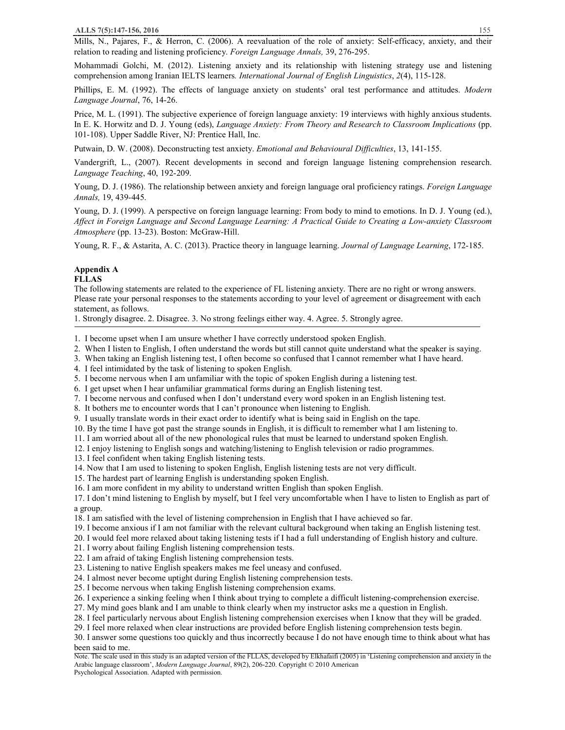Mills, N., Pajares, F., & Herron, C. (2006). A reevaluation of the role of anxiety: Self-efficacy, anxiety, and their relation to reading and listening proficiency. *Foreign Language Annals,* 39, 276-295.

Mohammadi Golchi, M. (2012). Listening anxiety and its relationship with listening strategy use and listening comprehension among Iranian IELTS learners*. International Journal of English Linguistics*, *2*(4), 115-128.

Phillips, E. M. (1992). The effects of language anxiety on students' oral test performance and attitudes. *Modern Language Journal*, 76, 14-26.

Price, M. L. (1991). The subjective experience of foreign language anxiety: 19 interviews with highly anxious students. In E. K. Horwitz and D. J. Young (eds), *Language Anxiety: From Theory and Research to Classroom Implications* (pp. 101-108). Upper Saddle River, NJ: Prentice Hall, Inc.

Putwain, D. W. (2008). Deconstructing test anxiety. *Emotional and Behavioural Difficulties*, 13, 141-155.

Vandergrift, L., (2007). Recent developments in second and foreign language listening comprehension research. *Language Teaching*, 40, 192-209.

Young, D. J. (1986). The relationship between anxiety and foreign language oral proficiency ratings. *Foreign Language Annals,* 19, 439-445.

Young, D. J. (1999). A perspective on foreign language learning: From body to mind to emotions. In D. J. Young (ed.), *Affect in Foreign Language and Second Language Learning: A Practical Guide to Creating a Low-anxiety Classroom Atmosphere* (pp. 13-23). Boston: McGraw-Hill.

Young, R. F., & Astarita, A. C. (2013). Practice theory in language learning. *Journal of Language Learning*, 172-185.

#### **Appendix A FLLAS**

The following statements are related to the experience of FL listening anxiety. There are no right or wrong answers. Please rate your personal responses to the statements according to your level of agreement or disagreement with each statement, as follows.

1. Strongly disagree. 2. Disagree. 3. No strong feelings either way. 4. Agree. 5. Strongly agree.

1. I become upset when I am unsure whether I have correctly understood spoken English.

2. When I listen to English, I often understand the words but still cannot quite understand what the speaker is saying.

3. When taking an English listening test, I often become so confused that I cannot remember what I have heard.

4. I feel intimidated by the task of listening to spoken English.

5. I become nervous when I am unfamiliar with the topic of spoken English during a listening test.

6. I get upset when I hear unfamiliar grammatical forms during an English listening test.

7. I become nervous and confused when I don't understand every word spoken in an English listening test.

8. It bothers me to encounter words that I can't pronounce when listening to English.

9. I usually translate words in their exact order to identify what is being said in English on the tape.

10. By the time I have got past the strange sounds in English, it is difficult to remember what I am listening to.

11. I am worried about all of the new phonological rules that must be learned to understand spoken English.

12. I enjoy listening to English songs and watching/listening to English television or radio programmes.

13. I feel confident when taking English listening tests.

14. Now that I am used to listening to spoken English, English listening tests are not very difficult.

15. The hardest part of learning English is understanding spoken English.

16. I am more confident in my ability to understand written English than spoken English.

17. I don't mind listening to English by myself, but I feel very uncomfortable when I have to listen to English as part of a group.

18. I am satisfied with the level of listening comprehension in English that I have achieved so far.

19. I become anxious if I am not familiar with the relevant cultural background when taking an English listening test.

20. I would feel more relaxed about taking listening tests if I had a full understanding of English history and culture.

21. I worry about failing English listening comprehension tests.

22. I am afraid of taking English listening comprehension tests.

23. Listening to native English speakers makes me feel uneasy and confused.

24. I almost never become uptight during English listening comprehension tests.

25. I become nervous when taking English listening comprehension exams.

26. I experience a sinking feeling when I think about trying to complete a difficult listening-comprehension exercise.

27. My mind goes blank and I am unable to think clearly when my instructor asks me a question in English.

28. I feel particularly nervous about English listening comprehension exercises when I know that they will be graded.

29. I feel more relaxed when clear instructions are provided before English listening comprehension tests begin.

30. I answer some questions too quickly and thus incorrectly because I do not have enough time to think about what has been said to me.

Note. The scale used in this study is an adapted version of the FLLAS, developed by Elkhafaifi (2005) in 'Listening comprehension and anxiety in the Arabic language classroom', *Modern Language Journal*, 89(2), 206-220. Copyright © 2010 American

Psychological Association. Adapted with permission.